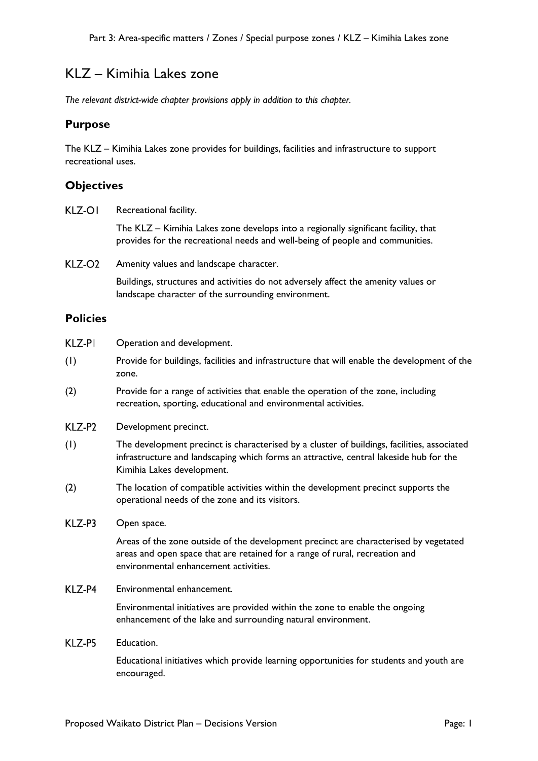# KLZ – Kimihia Lakes zone

*The relevant district-wide chapter provisions apply in addition to this chapter.* 

## **Purpose**

The KLZ – Kimihia Lakes zone provides for buildings, facilities and infrastructure to support recreational uses.

## **Objectives**

KLZ-OI Recreational facility.

> The KLZ – Kimihia Lakes zone develops into a regionally significant facility, that provides for the recreational needs and well-being of people and communities.

KLZ-O<sub>2</sub> Amenity values and landscape character.

> Buildings, structures and activities do not adversely affect the amenity values or landscape character of the surrounding environment.

### **Policies**

| KLZ-PI | Operation and development. |
|--------|----------------------------|
|--------|----------------------------|

- (1) Provide for buildings, facilities and infrastructure that will enable the development of the zone.
- (2) Provide for a range of activities that enable the operation of the zone, including recreation, sporting, educational and environmental activities.
- KLZ-P2 Development precinct.
- (1) The development precinct is characterised by a cluster of buildings, facilities, associated infrastructure and landscaping which forms an attractive, central lakeside hub for the Kimihia Lakes development.
- (2) The location of compatible activities within the development precinct supports the operational needs of the zone and its visitors.
- KLZ-P3 Open space.

Areas of the zone outside of the development precinct are characterised by vegetated areas and open space that are retained for a range of rural, recreation and environmental enhancement activities.

### KLZ-P4 Environmental enhancement.

Environmental initiatives are provided within the zone to enable the ongoing enhancement of the lake and surrounding natural environment.

### KI 7-P5 Education.

Educational initiatives which provide learning opportunities for students and youth are encouraged.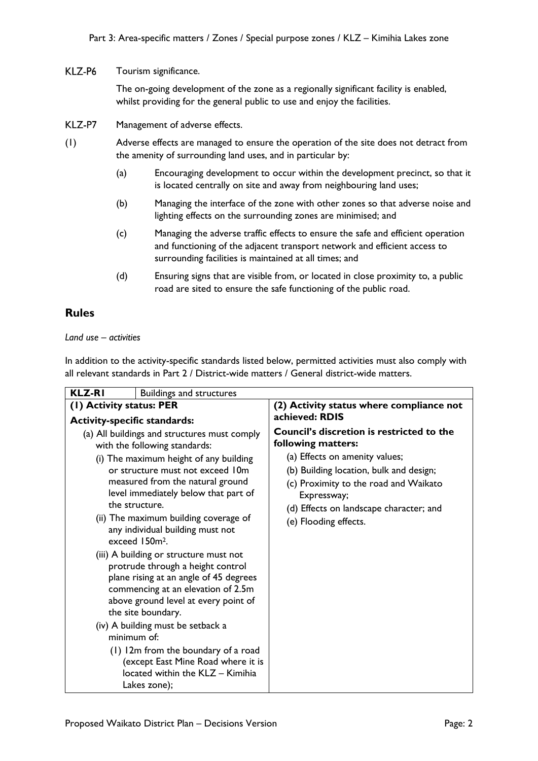### KLZ-P6 Tourism significance.

The on-going development of the zone as a regionally significant facility is enabled, whilst providing for the general public to use and enjoy the facilities.

- KLZ-P7 Management of adverse effects.
- (1) Adverse effects are managed to ensure the operation of the site does not detract from the amenity of surrounding land uses, and in particular by:
	- (a) Encouraging development to occur within the development precinct, so that it is located centrally on site and away from neighbouring land uses;
	- (b) Managing the interface of the zone with other zones so that adverse noise and lighting effects on the surrounding zones are minimised; and
	- (c) Managing the adverse traffic effects to ensure the safe and efficient operation and functioning of the adjacent transport network and efficient access to surrounding facilities is maintained at all times; and
	- (d) Ensuring signs that are visible from, or located in close proximity to, a public road are sited to ensure the safe functioning of the public road.

# **Rules**

*Land use – activities*

In addition to the activity-specific standards listed below, permitted activities must also comply with all relevant standards in Part 2 / District-wide matters / General district-wide matters.

| <b>KLZ-RI</b><br><b>Buildings and structures</b>                                                                                                                                                                                                                                                                                                                                                                                                    |                                                                                                                                                                                                                                                                                            |
|-----------------------------------------------------------------------------------------------------------------------------------------------------------------------------------------------------------------------------------------------------------------------------------------------------------------------------------------------------------------------------------------------------------------------------------------------------|--------------------------------------------------------------------------------------------------------------------------------------------------------------------------------------------------------------------------------------------------------------------------------------------|
| (1) Activity status: PER                                                                                                                                                                                                                                                                                                                                                                                                                            | (2) Activity status where compliance not                                                                                                                                                                                                                                                   |
| <b>Activity-specific standards:</b>                                                                                                                                                                                                                                                                                                                                                                                                                 |                                                                                                                                                                                                                                                                                            |
| (a) All buildings and structures must comply<br>with the following standards:<br>(i) The maximum height of any building<br>or structure must not exceed 10m<br>measured from the natural ground<br>level immediately below that part of<br>the structure.<br>(ii) The maximum building coverage of<br>any individual building must not<br>exceed 150m <sup>2</sup> .<br>(iii) A building or structure must not<br>protrude through a height control | achieved: RDIS<br>Council's discretion is restricted to the<br>following matters:<br>(a) Effects on amenity values;<br>(b) Building location, bulk and design;<br>(c) Proximity to the road and Waikato<br>Expressway;<br>(d) Effects on landscape character; and<br>(e) Flooding effects. |
| plane rising at an angle of 45 degrees<br>commencing at an elevation of 2.5m<br>above ground level at every point of<br>the site boundary.<br>(iv) A building must be setback a<br>minimum of:<br>(1) 12m from the boundary of a road<br>(except East Mine Road where it is<br>located within the KLZ - Kimihia                                                                                                                                     |                                                                                                                                                                                                                                                                                            |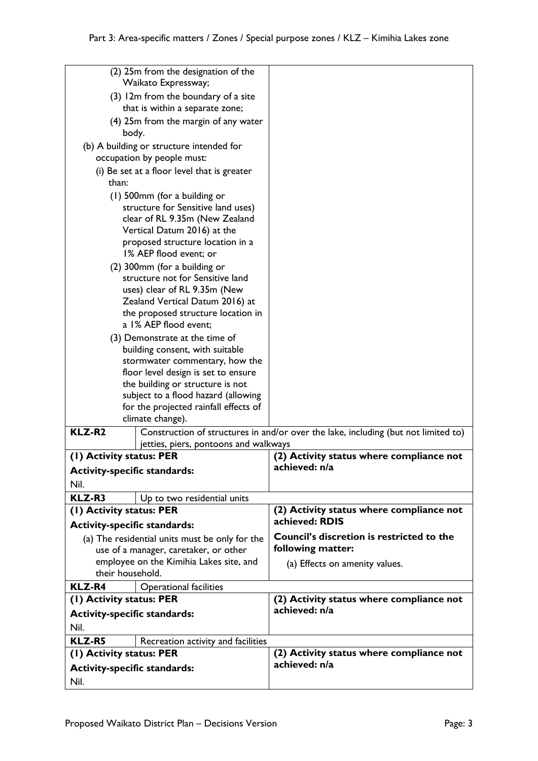| their household.<br><b>KLZ-R4</b><br>(1) Activity status: PER<br><b>Activity-specific standards:</b><br>Nil.<br><b>KLZ-R5</b><br>(I) Activity status: PER | <b>Operational facilities</b><br>Recreation activity and facilities       | (2) Activity status where compliance not<br>achieved: n/a<br>(2) Activity status where compliance not |
|-----------------------------------------------------------------------------------------------------------------------------------------------------------|---------------------------------------------------------------------------|-------------------------------------------------------------------------------------------------------|
|                                                                                                                                                           |                                                                           |                                                                                                       |
|                                                                                                                                                           |                                                                           |                                                                                                       |
|                                                                                                                                                           |                                                                           |                                                                                                       |
|                                                                                                                                                           |                                                                           |                                                                                                       |
|                                                                                                                                                           |                                                                           |                                                                                                       |
|                                                                                                                                                           |                                                                           |                                                                                                       |
|                                                                                                                                                           | employee on the Kimihia Lakes site, and                                   | (a) Effects on amenity values.                                                                        |
| use of a manager, caretaker, or other                                                                                                                     |                                                                           | following matter:                                                                                     |
|                                                                                                                                                           | (a) The residential units must be only for the                            | <b>Council's discretion is restricted to the</b>                                                      |
| <b>Activity-specific standards:</b>                                                                                                                       |                                                                           | achieved: RDIS                                                                                        |
| (1) Activity status: PER                                                                                                                                  |                                                                           | (2) Activity status where compliance not                                                              |
| KLZ-R3                                                                                                                                                    | Up to two residential units                                               |                                                                                                       |
| Nil.                                                                                                                                                      |                                                                           |                                                                                                       |
| <b>Activity-specific standards:</b>                                                                                                                       |                                                                           | achieved: n/a                                                                                         |
| (1) Activity status: PER                                                                                                                                  |                                                                           | (2) Activity status where compliance not                                                              |
|                                                                                                                                                           | jetties, piers, pontoons and walkways                                     |                                                                                                       |
| <b>KLZ-R2</b>                                                                                                                                             |                                                                           | Construction of structures in and/or over the lake, including (but not limited to)                    |
| for the projected rainfall effects of<br>climate change).                                                                                                 |                                                                           |                                                                                                       |
|                                                                                                                                                           | subject to a flood hazard (allowing                                       |                                                                                                       |
|                                                                                                                                                           | the building or structure is not                                          |                                                                                                       |
|                                                                                                                                                           | floor level design is set to ensure                                       |                                                                                                       |
|                                                                                                                                                           | stormwater commentary, how the                                            |                                                                                                       |
|                                                                                                                                                           | (3) Demonstrate at the time of<br>building consent, with suitable         |                                                                                                       |
| a 1% AEP flood event;                                                                                                                                     |                                                                           |                                                                                                       |
|                                                                                                                                                           | the proposed structure location in                                        |                                                                                                       |
|                                                                                                                                                           | Zealand Vertical Datum 2016) at                                           |                                                                                                       |
|                                                                                                                                                           | uses) clear of RL 9.35m (New                                              |                                                                                                       |
|                                                                                                                                                           | structure not for Sensitive land                                          |                                                                                                       |
|                                                                                                                                                           | (2) 300mm (for a building or                                              |                                                                                                       |
|                                                                                                                                                           | proposed structure location in a<br>1% AEP flood event; or                |                                                                                                       |
|                                                                                                                                                           | Vertical Datum 2016) at the                                               |                                                                                                       |
|                                                                                                                                                           | structure for Sensitive land uses)<br>clear of RL 9.35m (New Zealand      |                                                                                                       |
|                                                                                                                                                           | (1) 500mm (for a building or                                              |                                                                                                       |
| than:                                                                                                                                                     |                                                                           |                                                                                                       |
|                                                                                                                                                           | occupation by people must:<br>(i) Be set at a floor level that is greater |                                                                                                       |
| (b) A building or structure intended for                                                                                                                  |                                                                           |                                                                                                       |
| (4) 25m from the margin of any water<br>body.                                                                                                             |                                                                           |                                                                                                       |
|                                                                                                                                                           | that is within a separate zone;                                           |                                                                                                       |
| (3) 12m from the boundary of a site                                                                                                                       |                                                                           |                                                                                                       |
|                                                                                                                                                           | Waikato Expressway;                                                       |                                                                                                       |
|                                                                                                                                                           | (2) 25m from the designation of the                                       |                                                                                                       |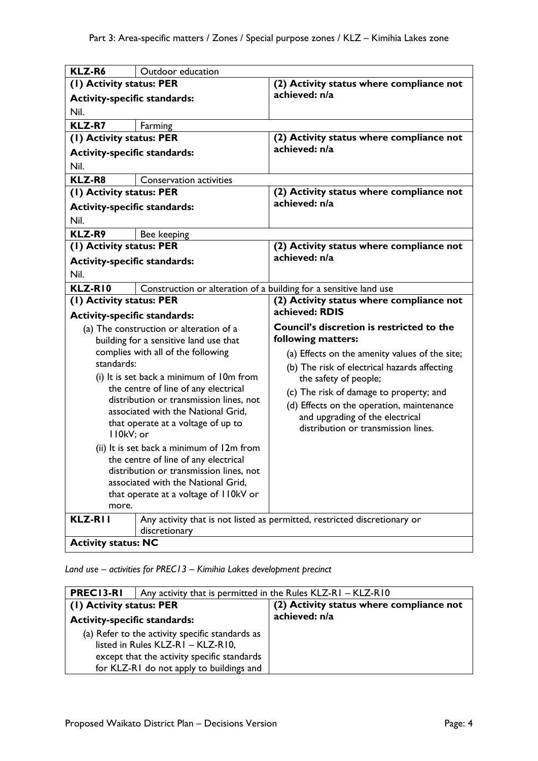| KLZ-R6                                                                           | Outdoor education                                                 |                                                                           |
|----------------------------------------------------------------------------------|-------------------------------------------------------------------|---------------------------------------------------------------------------|
| (I) Activity status: PER                                                         |                                                                   | (2) Activity status where compliance not                                  |
| <b>Activity-specific standards:</b>                                              |                                                                   | achieved: n/a                                                             |
| Nil.                                                                             |                                                                   |                                                                           |
| <b>KLZ-R7</b>                                                                    | Farming                                                           |                                                                           |
| (1) Activity status: PER                                                         |                                                                   | (2) Activity status where compliance not                                  |
| <b>Activity-specific standards:</b>                                              |                                                                   | achieved: n/a                                                             |
| Nil.                                                                             |                                                                   |                                                                           |
| KLZ-R8                                                                           | <b>Conservation activities</b>                                    |                                                                           |
| (1) Activity status: PER                                                         |                                                                   | (2) Activity status where compliance not                                  |
| <b>Activity-specific standards:</b>                                              |                                                                   | achieved: n/a                                                             |
| Nil.                                                                             |                                                                   |                                                                           |
| KLZ-R9                                                                           | Bee keeping                                                       |                                                                           |
| (1) Activity status: PER                                                         |                                                                   | (2) Activity status where compliance not                                  |
| <b>Activity-specific standards:</b>                                              |                                                                   | achieved: n/a                                                             |
| Nil.                                                                             |                                                                   |                                                                           |
| KLZ-RIO                                                                          | Construction or alteration of a building for a sensitive land use |                                                                           |
| (2) Activity status where compliance not<br>(1) Activity status: PER             |                                                                   |                                                                           |
| <b>Activity-specific standards:</b>                                              |                                                                   | achieved: RDIS                                                            |
|                                                                                  | (a) The construction or alteration of a                           | <b>Council's discretion is restricted to the</b>                          |
|                                                                                  | building for a sensitive land use that                            | following matters:                                                        |
|                                                                                  | complies with all of the following                                | (a) Effects on the amenity values of the site;                            |
| standards:                                                                       |                                                                   | (b) The risk of electrical hazards affecting                              |
| (i) It is set back a minimum of 10m from<br>the centre of line of any electrical |                                                                   | the safety of people;                                                     |
|                                                                                  | distribution or transmission lines, not                           | (c) The risk of damage to property; and                                   |
|                                                                                  | associated with the National Grid,                                | (d) Effects on the operation, maintenance                                 |
|                                                                                  | that operate at a voltage of up to                                | and upgrading of the electrical<br>distribution or transmission lines.    |
| II0kV; or                                                                        |                                                                   |                                                                           |
| (ii) It is set back a minimum of 12m from                                        |                                                                   |                                                                           |
| the centre of line of any electrical                                             |                                                                   |                                                                           |
| distribution or transmission lines, not                                          |                                                                   |                                                                           |
| associated with the National Grid,                                               |                                                                   |                                                                           |
| that operate at a voltage of II0kV or                                            |                                                                   |                                                                           |
| more.                                                                            |                                                                   |                                                                           |
| KLZ-RII                                                                          |                                                                   | Any activity that is not listed as permitted, restricted discretionary or |
| discretionary<br><b>Activity status: NC</b>                                      |                                                                   |                                                                           |
|                                                                                  |                                                                   |                                                                           |

*Land use – activities for PREC13 – Kimihia Lakes development precinct*

| <b>PRECI3-RI</b>                                | Any activity that is permitted in the Rules KLZ-RI - KLZ-RI0 |  |
|-------------------------------------------------|--------------------------------------------------------------|--|
| (1) Activity status: PER                        | (2) Activity status where compliance not                     |  |
| <b>Activity-specific standards:</b>             | achieved: n/a                                                |  |
| (a) Refer to the activity specific standards as |                                                              |  |
| listed in Rules KLZ-RI - KLZ-RI0,               |                                                              |  |
| except that the activity specific standards     |                                                              |  |
| for KLZ-R1 do not apply to buildings and        |                                                              |  |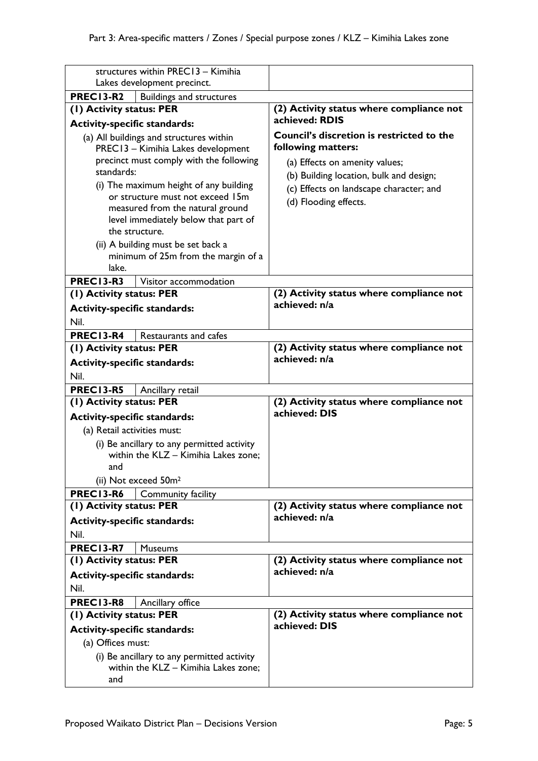| structures within PREC13 - Kimihia                              |                                                                          |                                                            |
|-----------------------------------------------------------------|--------------------------------------------------------------------------|------------------------------------------------------------|
|                                                                 | Lakes development precinct.                                              |                                                            |
| <b>PREC13-R2</b>                                                | <b>Buildings and structures</b>                                          |                                                            |
| (1) Activity status: PER<br><b>Activity-specific standards:</b> |                                                                          | (2) Activity status where compliance not<br>achieved: RDIS |
|                                                                 | (a) All buildings and structures within                                  | <b>Council's discretion is restricted to the</b>           |
|                                                                 | PREC13 - Kimihia Lakes development                                       | following matters:                                         |
|                                                                 | precinct must comply with the following                                  | (a) Effects on amenity values;                             |
| standards:                                                      |                                                                          | (b) Building location, bulk and design;                    |
|                                                                 | (i) The maximum height of any building                                   | (c) Effects on landscape character; and                    |
|                                                                 | or structure must not exceed 15m                                         | (d) Flooding effects.                                      |
|                                                                 | measured from the natural ground<br>level immediately below that part of |                                                            |
| the structure.                                                  |                                                                          |                                                            |
|                                                                 | (ii) A building must be set back a                                       |                                                            |
|                                                                 | minimum of 25m from the margin of a                                      |                                                            |
| lake.                                                           |                                                                          |                                                            |
| <b>PREC13-R3</b>                                                | Visitor accommodation                                                    |                                                            |
| (1) Activity status: PER                                        |                                                                          | (2) Activity status where compliance not<br>achieved: n/a  |
| <b>Activity-specific standards:</b>                             |                                                                          |                                                            |
| Nil.                                                            |                                                                          |                                                            |
| PREC13-R4                                                       | Restaurants and cafes                                                    |                                                            |
| (1) Activity status: PER                                        |                                                                          | (2) Activity status where compliance not<br>achieved: n/a  |
| <b>Activity-specific standards:</b><br>Nil.                     |                                                                          |                                                            |
| <b>PREC13-R5</b>                                                | Ancillary retail                                                         |                                                            |
| (1) Activity status: PER                                        |                                                                          | (2) Activity status where compliance not                   |
| <b>Activity-specific standards:</b>                             |                                                                          | achieved: DIS                                              |
| (a) Retail activities must:                                     |                                                                          |                                                            |
|                                                                 | (i) Be ancillary to any permitted activity                               |                                                            |
|                                                                 | within the KLZ - Kimihia Lakes zone;                                     |                                                            |
| and                                                             |                                                                          |                                                            |
|                                                                 | (ii) Not exceed 50m <sup>2</sup>                                         |                                                            |
| <b>PREC13-R6</b>                                                | <b>Community facility</b>                                                |                                                            |
| (1) Activity status: PER                                        |                                                                          |                                                            |
|                                                                 |                                                                          | (2) Activity status where compliance not<br>achieved: n/a  |
| <b>Activity-specific standards:</b>                             |                                                                          |                                                            |
| Nil.                                                            |                                                                          |                                                            |
| <b>PREC13-R7</b>                                                | <b>Museums</b>                                                           |                                                            |
| (I) Activity status: PER                                        |                                                                          | (2) Activity status where compliance not<br>achieved: n/a  |
| <b>Activity-specific standards:</b><br>Nil.                     |                                                                          |                                                            |
| <b>PREC13-R8</b>                                                | Ancillary office                                                         |                                                            |
| (1) Activity status: PER                                        |                                                                          | (2) Activity status where compliance not                   |
| <b>Activity-specific standards:</b>                             |                                                                          | achieved: DIS                                              |
| (a) Offices must:                                               |                                                                          |                                                            |
|                                                                 | (i) Be ancillary to any permitted activity                               |                                                            |
| and                                                             | within the KLZ - Kimihia Lakes zone;                                     |                                                            |